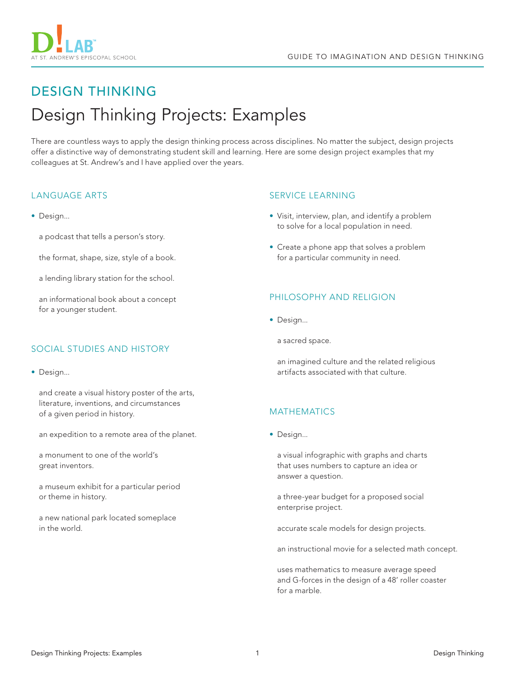



# DESIGN THINKING Design Thinking Projects: Examples

There are countless ways to apply the design thinking process across disciplines. No matter the subject, design projects offer a distinctive way of demonstrating student skill and learning. Here are some design project examples that my colleagues at St. Andrew's and I have applied over the years.

# LANGUAGE ARTS

• Design...

a podcast that tells a person's story.

the format, shape, size, style of a book.

a lending library station for the school.

an informational book about a concept for a younger student.

# SOCIAL STUDIES AND HISTORY

• Design...

and create a visual history poster of the arts, literature, inventions, and circumstances of a given period in history.

an expedition to a remote area of the planet.

a monument to one of the world's great inventors.

a museum exhibit for a particular period or theme in history.

a new national park located someplace in the world.

## SERVICE LEARNING

- Visit, interview, plan, and identify a problem to solve for a local population in need.
- Create a phone app that solves a problem for a particular community in need.

#### PHILOSOPHY AND RELIGION

• Design...

a sacred space.

an imagined culture and the related religious artifacts associated with that culture.

## MATHEMATICS

• Design...

a visual infographic with graphs and charts that uses numbers to capture an idea or answer a question.

a three-year budget for a proposed social enterprise project.

accurate scale models for design projects.

an instructional movie for a selected math concept.

uses mathematics to measure average speed and G-forces in the design of a 48' roller coaster for a marble.